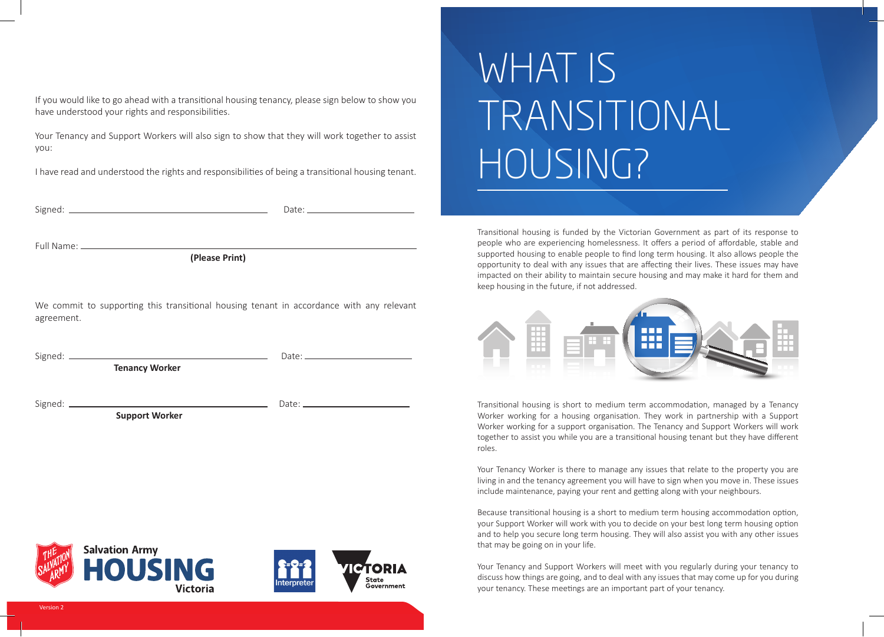If you would like to go ahead with a transitional housing tenancy, please sign below to show you have understood your rights and responsibilities.

Your Tenancy and Support Workers will also sign to show that they will work together to assist you:

I have read and understood the rights and responsibilities of being a transitional housing tenant.

Signed: Date:

Full Name:

 **(Please Print)**

We commit to supporting this transitional housing tenant in accordance with any relevant agreement.

Signed: Date:

 **Tenancy Worker**

Signed: Date:

**Support Worker**

# WHAT IS TRANSITIONAL HOUSING?

Transitional housing is funded by the Victorian Government as part of its response to people who are experiencing homelessness. It offers a period of affordable, stable and supported housing to enable people to find long term housing. It also allows people the opportunity to deal with any issues that are affecting their lives. These issues may have impacted on their ability to maintain secure housing and may make it hard for them and keep housing in the future, if not addressed.



Transitional housing is short to medium term accommodation, managed by a Tenancy Worker working for a housing organisation. They work in partnership with a Support Worker working for a support organisation. The Tenancy and Support Workers will work together to assist you while you are a transitional housing tenant but they have different roles.

Your Tenancy Worker is there to manage any issues that relate to the property you are living in and the tenancy agreement you will have to sign when you move in. These issues include maintenance, paying your rent and getting along with your neighbours.

Because transitional housing is a short to medium term housing accommodation option, your Support Worker will work with you to decide on your best long term housing option and to help you secure long term housing. They will also assist you with any other issues that may be going on in your life.

Your Tenancy and Support Workers will meet with you regularly during your tenancy to discuss how things are going, and to deal with any issues that may come up for you during your tenancy. These meetings are an important part of your tenancy.